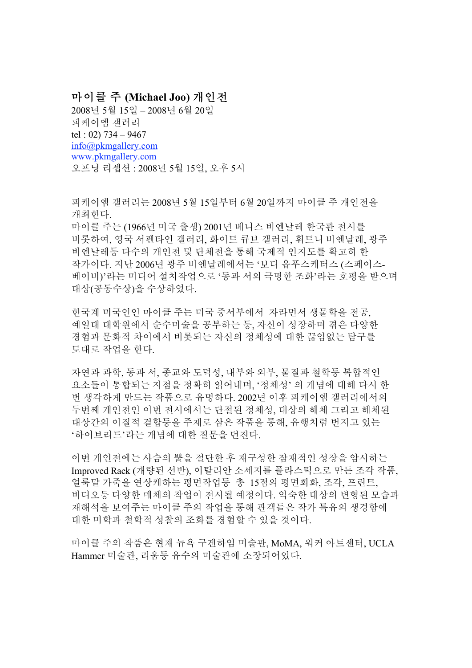## 마이클 주 **(Michael Joo)** 개인전

2008년 5월 15일 – 2008년 6월 20일 피케이엠 갤러리 tel : 02) 734 – 9467 info@pkmgallery.com www.pkmgallery.com 오프닝 리셉션 : 2008년 5월 15일, 오후 5시

피케이엠 갤러리는 2008년 5월 15일부터 6월 20일까지 마이클 주 개인전을 개최한다. 마이클 주는 (1966년 미국 출생) 2001년 베니스 비엔날레 한국관 전시를 비롯하여, 영국 서펜타인 갤러리, 화이트 큐브 갤러리, 휘트니 비엔날레, 광주 비엔날레등 다수의 개인전 및 단체전을 통해 국제적 인지도를 확고히 한 작가이다. 지난 2006년 광주 비엔날레에서는 '보디 옵푸스케터스 (스페이스-베이비)'라는 미디어 설치작업으로 '동과 서의 극명한 조화'라는 호평을 받으며 대상(공동수상)을 수상하였다.

한국계 미국인인 마이클 주는 미국 중서부에서 자라면서 생물학을 전공, 예일대 대학원에서 순수미술을 공부하는 등, 자신이 성장하며 겪은 다양한 경험과 문화적 차이에서 비롯되는 자신의 정체성에 대한 끊임없는 탐구를 토대로 작업을 한다.

자연과 과학, 동과 서, 종교와 도덕성, 내부와 외부, 물질과 철학등 복합적인 요소들이 통합되는 지점을 정확히 읽어내며, '정체성' 의 개념에 대해 다시 한 번 생각하게 만드는 작품으로 유명하다. 2002년 이후 피케이엠 갤러리에서의 두번째 개인전인 이번 전시에서는 단절된 정체성, 대상의 해체 그리고 해체된 대상간의 이질적 결합등을 주제로 삼은 작품을 통해, 유행처럼 번지고 있는 '하이브리드'라는 개념에 대한 질문을 던진다.

이번 개인전에는 사슴의 뿔을 절단한 후 재구성한 잠재적인 성장을 암시하는 Improved Rack (개량된 선반), 이탈리안 소세지를 플라스틱으로 만든 조각 작품, 얼룩말 가죽을 연상케하는 평면작업등 총 15점의 평면회화, 조각, 프린트, 비디오등 다양한 매체의 작업이 전시될 예정이다. 익숙한 대상의 변형된 모습과 재해석을 보여주는 마이클 주의 작업을 통해 관객들은 작가 특유의 생경함에 대한 미학과 철학적 성찰의 조화를 경험할 수 있을 것이다.

마이클 주의 작품은 현재 뉴욕 구겐하임 미술관, MoMA, 워커 아트센터, UCLA Hammer 미술관, 리움등 유수의 미술관에 소장되어있다.